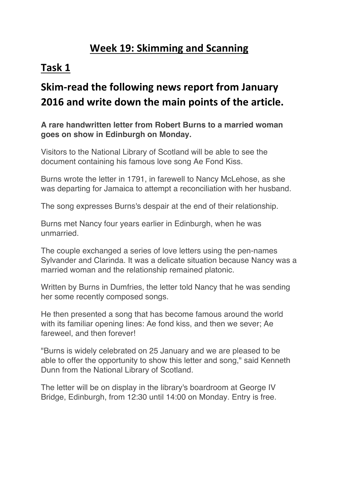### **Week 19: Skimming and Scanning**

### **Task 1**

# **Skim-read the following news report from January 2016 and write down the main points of the article.**

**A rare handwritten letter from Robert Burns to a married woman goes on show in Edinburgh on Monday.**

Visitors to the National Library of Scotland will be able to see the document containing his famous love song Ae Fond Kiss.

Burns wrote the letter in 1791, in farewell to Nancy McLehose, as she was departing for Jamaica to attempt a reconciliation with her husband.

The song expresses Burns's despair at the end of their relationship.

Burns met Nancy four years earlier in Edinburgh, when he was unmarried.

The couple exchanged a series of love letters using the pen-names Sylvander and Clarinda. It was a delicate situation because Nancy was a married woman and the relationship remained platonic.

Written by Burns in Dumfries, the letter told Nancy that he was sending her some recently composed songs.

He then presented a song that has become famous around the world with its familiar opening lines: Ae fond kiss, and then we sever; Ae fareweel, and then forever!

"Burns is widely celebrated on 25 January and we are pleased to be able to offer the opportunity to show this letter and song," said Kenneth Dunn from the National Library of Scotland.

The letter will be on display in the library's boardroom at George IV Bridge, Edinburgh, from 12:30 until 14:00 on Monday. Entry is free.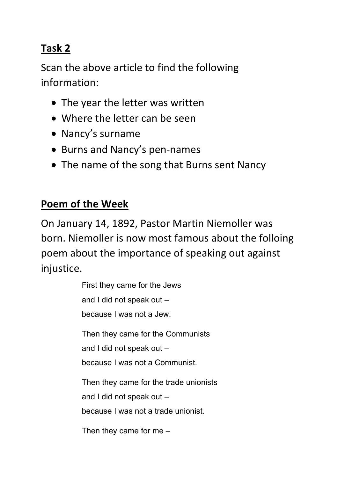# **Task 2**

Scan the above article to find the following information:

- The year the letter was written
- Where the letter can be seen
- Nancy's surname
- Burns and Nancy's pen-names
- The name of the song that Burns sent Nancy

## **Poem of the Week**

On January 14, 1892, Pastor Martin Niemoller was born. Niemoller is now most famous about the folloing poem about the importance of speaking out against injustice.

| First they came for the Jews           |
|----------------------------------------|
| and I did not speak out -              |
| because I was not a Jew.               |
| Then they came for the Communists      |
| and I did not speak out -              |
| because I was not a Communist.         |
| Then they came for the trade unionists |
| and I did not speak out -              |
| because I was not a trade unionist.    |
| Then they came for me $-$              |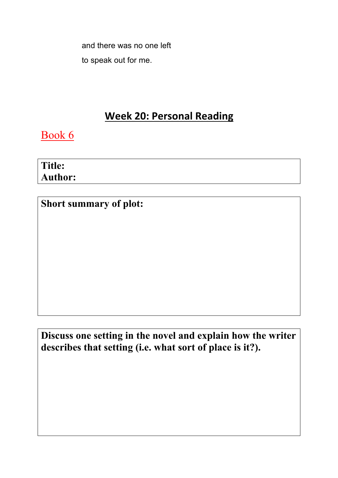and there was no one left

to speak out for me.

### **Week 20: Personal Reading**

### Book 6

#### **Title: Author:**

**Short summary of plot:**

**Discuss one setting in the novel and explain how the writer describes that setting (i.e. what sort of place is it?).**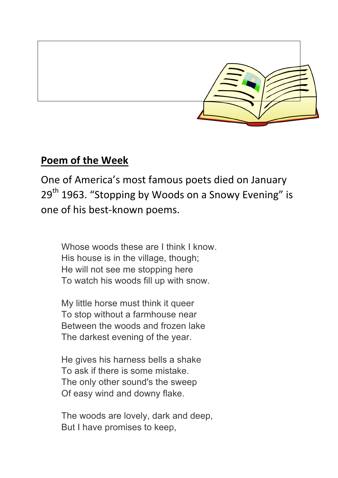

#### **Poem of the Week**

One of America's most famous poets died on January 29<sup>th</sup> 1963. "Stopping by Woods on a Snowy Evening" is one of his best-known poems.

Whose woods these are I think I know. His house is in the village, though; He will not see me stopping here To watch his woods fill up with snow.

My little horse must think it queer To stop without a farmhouse near Between the woods and frozen lake The darkest evening of the year.

He gives his harness bells a shake To ask if there is some mistake. The only other sound's the sweep Of easy wind and downy flake.

The woods are lovely, dark and deep, But I have promises to keep,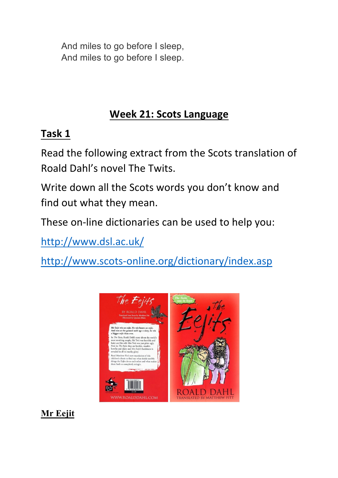And miles to go before I sleep, And miles to go before I sleep.

## **Week 21: Scots Language**

# **Task 1**

Read the following extract from the Scots translation of Roald Dahl's novel The Twits.

Write down all the Scots words you don't know and find out what they mean.

These on-line dictionaries can be used to help you:

http://www.dsl.ac.uk/

http://www.scots-online.org/dictionary/index.asp



**Mr Eejit**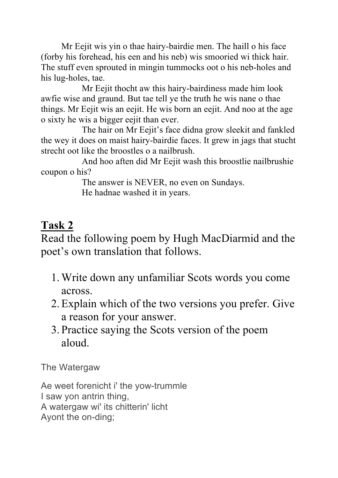Mr Eejit wis yin o thae hairy-bairdie men. The haill o his face (forby his forehead, his een and his neb) wis smooried wi thick hair. The stuff even sprouted in mingin tummocks oot o his neb-holes and his lug-holes, tae.

Mr Eejit thocht aw this hairy-bairdiness made him look awfie wise and graund. But tae tell ye the truth he wis nane o thae things. Mr Eejit wis an eejit. He wis born an eejit. And noo at the age o sixty he wis a bigger eejit than ever.

The hair on Mr Eejit's face didna grow sleekit and fankled the wey it does on maist hairy-bairdie faces. It grew in jags that stucht strecht oot like the broostles o a nailbrush.

And hoo aften did Mr Eejit wash this broostlie nailbrushie coupon o his?

The answer is NEVER, no even on Sundays. He hadnae washed it in years.

## **Task 2**

Read the following poem by Hugh MacDiarmid and the poet's own translation that follows.

- 1.Write down any unfamiliar Scots words you come across.
- 2.Explain which of the two versions you prefer. Give a reason for your answer.
- 3. Practice saying the Scots version of the poem aloud.

The Watergaw

Ae weet forenicht i' the yow-trummle I saw yon antrin thing, A watergaw wi' its chitterin' licht Ayont the on-ding;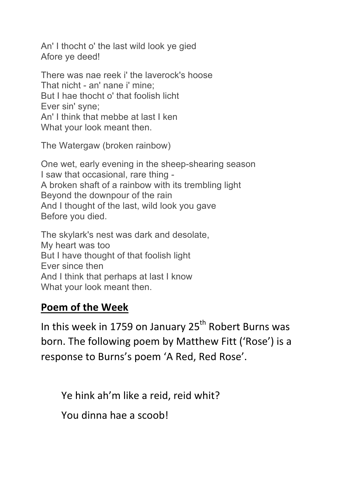An' I thocht o' the last wild look ye gied Afore ye deed!

There was nae reek i' the laverock's hoose That nicht - an' nane i' mine; But I hae thocht o' that foolish licht Ever sin' syne; An' I think that mebbe at last I ken What your look meant then.

The Watergaw (broken rainbow)

One wet, early evening in the sheep-shearing season I saw that occasional, rare thing - A broken shaft of a rainbow with its trembling light Beyond the downpour of the rain And I thought of the last, wild look you gave Before you died.

The skylark's nest was dark and desolate, My heart was too But I have thought of that foolish light Ever since then And I think that perhaps at last I know What your look meant then.

#### **Poem of the Week**

In this week in 1759 on January  $25<sup>th</sup>$  Robert Burns was born. The following poem by Matthew Fitt ('Rose') is a response to Burns's poem 'A Red, Red Rose'.

Ye hink ah'm like a reid, reid whit?

You dinna hae a scoob!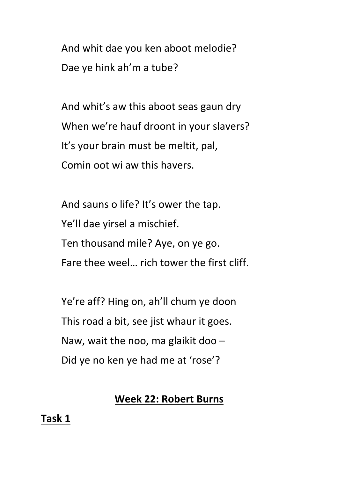And whit dae you ken aboot melodie? Dae ye hink ah'm a tube?

And whit's aw this aboot seas gaun dry When we're hauf droont in your slavers? It's your brain must be meltit, pal, Comin oot wi aw this havers.

And sauns o life? It's ower the tap. Ye'll dae yirsel a mischief. Ten thousand mile? Aye, on ye go. Fare thee weel... rich tower the first cliff.

Ye're aff? Hing on, ah'll chum ye doon This road a bit, see jist whaur it goes. Naw, wait the noo, ma glaikit doo  $-$ Did ye no ken ye had me at 'rose'?

#### **Week 22: Robert Burns**

#### **Task 1**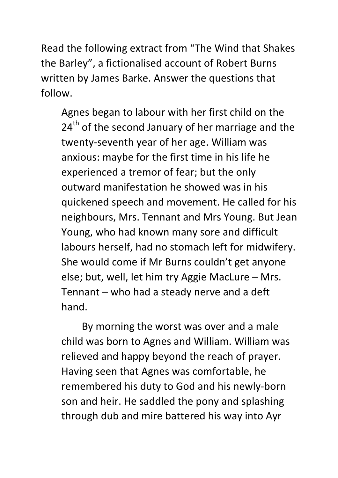Read the following extract from "The Wind that Shakes the Barley", a fictionalised account of Robert Burns written by James Barke. Answer the questions that follow.

Agnes began to labour with her first child on the  $24<sup>th</sup>$  of the second January of her marriage and the twenty-seventh year of her age. William was anxious: maybe for the first time in his life he experienced a tremor of fear; but the only outward manifestation he showed was in his quickened speech and movement. He called for his neighbours, Mrs. Tennant and Mrs Young. But Jean Young, who had known many sore and difficult labours herself, had no stomach left for midwifery. She would come if Mr Burns couldn't get anyone else; but, well, let him try Aggie MacLure  $-$  Mrs. Tennant  $-$  who had a steady nerve and a deft hand.

By morning the worst was over and a male child was born to Agnes and William. William was relieved and happy beyond the reach of prayer. Having seen that Agnes was comfortable, he remembered his duty to God and his newly-born son and heir. He saddled the pony and splashing through dub and mire battered his way into Ayr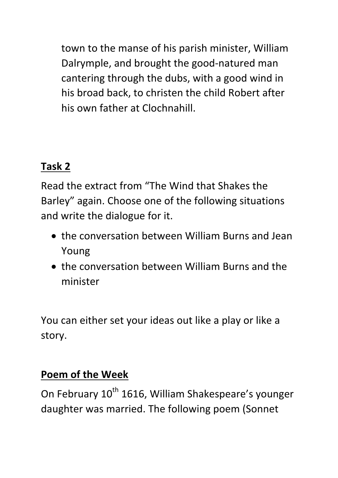town to the manse of his parish minister, William Dalrymple, and brought the good-natured man cantering through the dubs, with a good wind in his broad back, to christen the child Robert after his own father at Clochnahill.

# **Task 2**

Read the extract from "The Wind that Shakes the Barley" again. Choose one of the following situations and write the dialogue for it.

- the conversation between William Burns and Jean Young
- $\bullet$  the conversation between William Burns and the minister

You can either set your ideas out like a play or like a story.

## **Poem of the Week**

On February 10<sup>th</sup> 1616, William Shakespeare's younger daughter was married. The following poem (Sonnet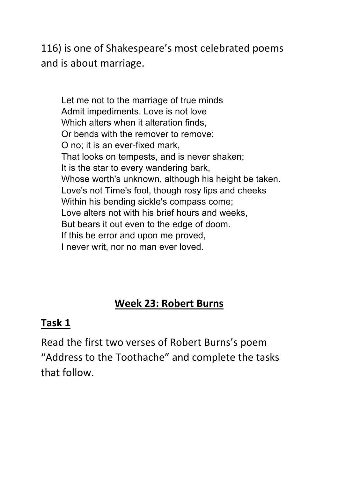116) is one of Shakespeare's most celebrated poems and is about marriage.

Let me not to the marriage of true minds Admit impediments. Love is not love Which alters when it alteration finds. Or bends with the remover to remove: O no; it is an ever-fixed mark, That looks on tempests, and is never shaken; It is the star to every wandering bark, Whose worth's unknown, although his height be taken. Love's not Time's fool, though rosy lips and cheeks Within his bending sickle's compass come; Love alters not with his brief hours and weeks, But bears it out even to the edge of doom. If this be error and upon me proved, I never writ, nor no man ever loved.

### **Week 23: Robert Burns**

#### **Task 1**

Read the first two verses of Robert Burns's poem "Address to the Toothache" and complete the tasks that follow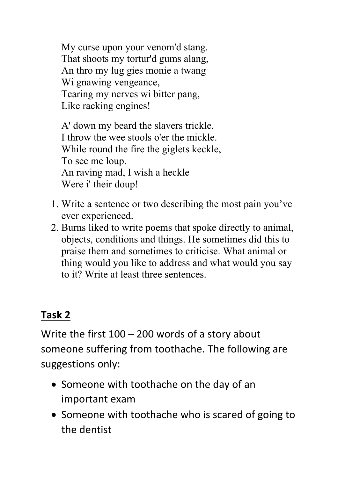My curse upon your venom'd stang. That shoots my tortur'd gums alang, An thro my lug gies monie a twang Wi gnawing vengeance, Tearing my nerves wi bitter pang, Like racking engines!

A' down my beard the slavers trickle, I throw the wee stools o'er the mickle. While round the fire the giglets keckle, To see me loup. An raving mad, I wish a heckle Were i' their doup!

- 1. Write a sentence or two describing the most pain you've ever experienced.
- 2. Burns liked to write poems that spoke directly to animal, objects, conditions and things. He sometimes did this to praise them and sometimes to criticise. What animal or thing would you like to address and what would you say to it? Write at least three sentences.

## **Task 2**

Write the first  $100 - 200$  words of a story about someone suffering from toothache. The following are suggestions only:

- Someone with toothache on the day of an important exam
- Someone with toothache who is scared of going to the dentist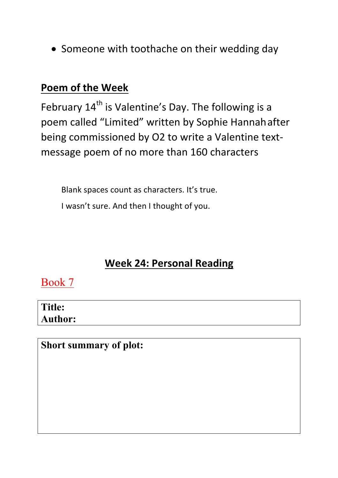• Someone with toothache on their wedding day

#### **Poem of the Week**

February  $14<sup>th</sup>$  is Valentine's Day. The following is a poem called "Limited" written by Sophie Hannahafter being commissioned by O2 to write a Valentine textmessage poem of no more than 160 characters

Blank spaces count as characters. It's true.

I wasn't sure. And then I thought of you.

### **Week 24: Personal Reading**

# Book 7

#### **Title: Author:**

#### **Short summary of plot:**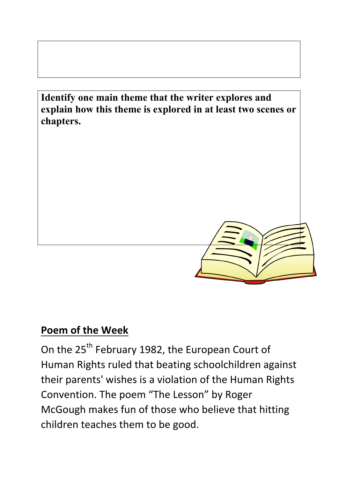



### **Poem of the Week**

On the 25<sup>th</sup> February 1982, the European Court of Human Rights ruled that beating schoolchildren against their parents' wishes is a violation of the Human Rights Convention. The poem "The Lesson" by Roger McGough makes fun of those who believe that hitting children teaches them to be good.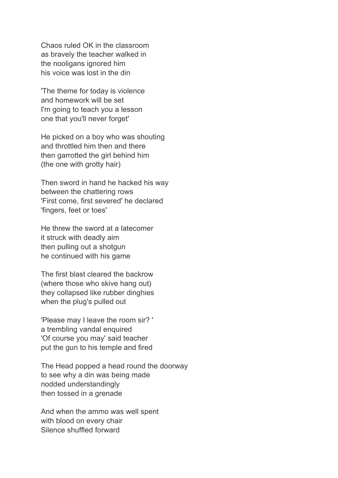Chaos ruled OK in the classroom as bravely the teacher walked in the nooligans ignored him his voice was lost in the din

'The theme for today is violence and homework will be set I'm going to teach you a lesson one that you'll never forget'

He picked on a boy who was shouting and throttled him then and there then garrotted the girl behind him (the one with grotty hair)

Then sword in hand he hacked his way between the chattering rows 'First come, first severed' he declared 'fingers, feet or toes'

He threw the sword at a latecomer it struck with deadly aim then pulling out a shotgun he continued with his game

The first blast cleared the backrow (where those who skive hang out) they collapsed like rubber dinghies when the plug's pulled out

'Please may I leave the room sir? ' a trembling vandal enquired 'Of course you may' said teacher put the gun to his temple and fired

The Head popped a head round the doorway to see why a din was being made nodded understandingly then tossed in a grenade

And when the ammo was well spent with blood on every chair Silence shuffled forward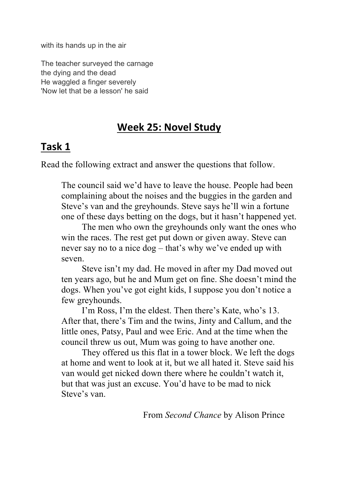with its hands up in the air

The teacher surveyed the carnage the dying and the dead He waggled a finger severely 'Now let that be a lesson' he said

### **Week 25: Novel Study**

### **Task 1**

Read the following extract and answer the questions that follow.

The council said we'd have to leave the house. People had been complaining about the noises and the buggies in the garden and Steve's van and the greyhounds. Steve says he'll win a fortune one of these days betting on the dogs, but it hasn't happened yet.

The men who own the greyhounds only want the ones who win the races. The rest get put down or given away. Steve can never say no to a nice dog – that's why we've ended up with seven.

Steve isn't my dad. He moved in after my Dad moved out ten years ago, but he and Mum get on fine. She doesn't mind the dogs. When you've got eight kids, I suppose you don't notice a few greyhounds.

I'm Ross, I'm the eldest. Then there's Kate, who's 13. After that, there's Tim and the twins, Jinty and Callum, and the little ones, Patsy, Paul and wee Eric. And at the time when the council threw us out, Mum was going to have another one.

They offered us this flat in a tower block. We left the dogs at home and went to look at it, but we all hated it. Steve said his van would get nicked down there where he couldn't watch it, but that was just an excuse. You'd have to be mad to nick Steve's van.

From *Second Chance* by Alison Prince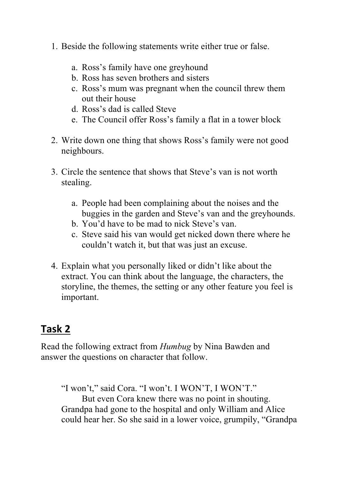- 1. Beside the following statements write either true or false.
	- a. Ross's family have one greyhound
	- b. Ross has seven brothers and sisters
	- c. Ross's mum was pregnant when the council threw them out their house
	- d. Ross's dad is called Steve
	- e. The Council offer Ross's family a flat in a tower block
- 2. Write down one thing that shows Ross's family were not good neighbours.
- 3. Circle the sentence that shows that Steve's van is not worth stealing.
	- a. People had been complaining about the noises and the buggies in the garden and Steve's van and the greyhounds.
	- b. You'd have to be mad to nick Steve's van.
	- c. Steve said his van would get nicked down there where he couldn't watch it, but that was just an excuse.
- 4. Explain what you personally liked or didn't like about the extract. You can think about the language, the characters, the storyline, the themes, the setting or any other feature you feel is important.

# **Task 2**

Read the following extract from *Humbug* by Nina Bawden and answer the questions on character that follow.

"I won't," said Cora. "I won't. I WON'T, I WON'T." But even Cora knew there was no point in shouting. Grandpa had gone to the hospital and only William and Alice could hear her. So she said in a lower voice, grumpily, "Grandpa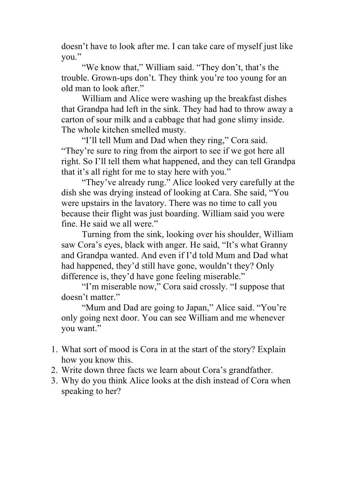doesn't have to look after me. I can take care of myself just like you."

"We know that," William said. "They don't, that's the trouble. Grown-ups don't. They think you're too young for an old man to look after."

William and Alice were washing up the breakfast dishes that Grandpa had left in the sink. They had had to throw away a carton of sour milk and a cabbage that had gone slimy inside. The whole kitchen smelled musty.

"I'll tell Mum and Dad when they ring," Cora said. "They're sure to ring from the airport to see if we got here all right. So I'll tell them what happened, and they can tell Grandpa that it's all right for me to stay here with you."

"They've already rung." Alice looked very carefully at the dish she was drying instead of looking at Cara. She said, "You were upstairs in the lavatory. There was no time to call you because their flight was just boarding. William said you were fine. He said we all were."

Turning from the sink, looking over his shoulder, William saw Cora's eyes, black with anger. He said, "It's what Granny and Grandpa wanted. And even if I'd told Mum and Dad what had happened, they'd still have gone, wouldn't they? Only difference is, they'd have gone feeling miserable."

"I'm miserable now," Cora said crossly. "I suppose that doesn't matter."

"Mum and Dad are going to Japan," Alice said. "You're only going next door. You can see William and me whenever you want."

- 1. What sort of mood is Cora in at the start of the story? Explain how you know this.
- 2. Write down three facts we learn about Cora's grandfather.
- 3. Why do you think Alice looks at the dish instead of Cora when speaking to her?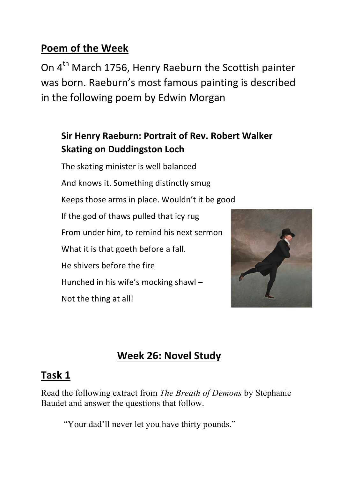### **Poem of the Week**

On 4<sup>th</sup> March 1756, Henry Raeburn the Scottish painter was born. Raeburn's most famous painting is described in the following poem by Edwin Morgan

### **Sir Henry Raeburn: Portrait of Rev. Robert Walker Skating on Duddingston Loch**

The skating minister is well balanced And knows it. Something distinctly smug Keeps those arms in place. Wouldn't it be good If the god of thaws pulled that icy rug From under him, to remind his next sermon What it is that goeth before a fall. He shivers before the fire Hunched in his wife's mocking shawl  $-$ Not the thing at all!



# **Week 26: Novel Study**

## **Task 1**

Read the following extract from *The Breath of Demons* by Stephanie Baudet and answer the questions that follow.

"Your dad'll never let you have thirty pounds."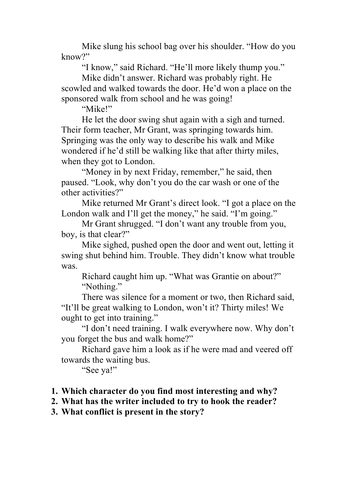Mike slung his school bag over his shoulder. "How do you know?"

"I know," said Richard. "He'll more likely thump you."

Mike didn't answer. Richard was probably right. He scowled and walked towards the door. He'd won a place on the sponsored walk from school and he was going!

"Mike!"

He let the door swing shut again with a sigh and turned. Their form teacher, Mr Grant, was springing towards him. Springing was the only way to describe his walk and Mike wondered if he'd still be walking like that after thirty miles, when they got to London.

"Money in by next Friday, remember," he said, then paused. "Look, why don't you do the car wash or one of the other activities?"

Mike returned Mr Grant's direct look. "I got a place on the London walk and I'll get the money," he said. "I'm going."

Mr Grant shrugged. "I don't want any trouble from you, boy, is that clear?"

Mike sighed, pushed open the door and went out, letting it swing shut behind him. Trouble. They didn't know what trouble was.

Richard caught him up. "What was Grantie on about?" "Nothing."

There was silence for a moment or two, then Richard said, "It'll be great walking to London, won't it? Thirty miles! We ought to get into training."

"I don't need training. I walk everywhere now. Why don't you forget the bus and walk home?"

Richard gave him a look as if he were mad and veered off towards the waiting bus.

"See ya!"

**1. Which character do you find most interesting and why?**

**2. What has the writer included to try to hook the reader?**

**3. What conflict is present in the story?**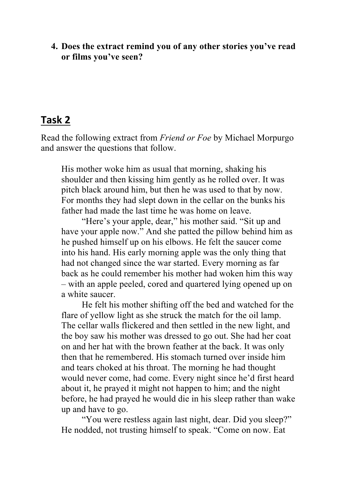**4. Does the extract remind you of any other stories you've read or films you've seen?**

#### **Task 2**

Read the following extract from *Friend or Foe* by Michael Morpurgo and answer the questions that follow.

His mother woke him as usual that morning, shaking his shoulder and then kissing him gently as he rolled over. It was pitch black around him, but then he was used to that by now. For months they had slept down in the cellar on the bunks his father had made the last time he was home on leave.

"Here's your apple, dear," his mother said. "Sit up and have your apple now." And she patted the pillow behind him as he pushed himself up on his elbows. He felt the saucer come into his hand. His early morning apple was the only thing that had not changed since the war started. Every morning as far back as he could remember his mother had woken him this way – with an apple peeled, cored and quartered lying opened up on a white saucer.

He felt his mother shifting off the bed and watched for the flare of yellow light as she struck the match for the oil lamp. The cellar walls flickered and then settled in the new light, and the boy saw his mother was dressed to go out. She had her coat on and her hat with the brown feather at the back. It was only then that he remembered. His stomach turned over inside him and tears choked at his throat. The morning he had thought would never come, had come. Every night since he'd first heard about it, he prayed it might not happen to him; and the night before, he had prayed he would die in his sleep rather than wake up and have to go.

"You were restless again last night, dear. Did you sleep?" He nodded, not trusting himself to speak. "Come on now. Eat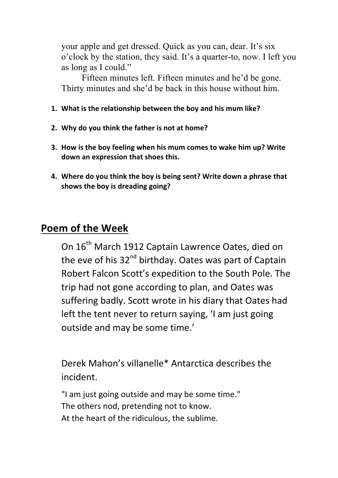your apple and get dressed. Quick as you can, dear. It's six o'clock by the station, they said. It's a quarter-to, now. I left you as long as I could."

Fifteen minutes left. Fifteen minutes and he'd be gone. Thirty minutes and she'd be back in this house without him.

- 1. What is the relationship between the boy and his mum like?
- **2.** Why do you think the father is not at home?
- **3.** How is the boy feeling when his mum comes to wake him up? Write down an expression that shoes this.
- **4.** Where do you think the boy is being sent? Write down a phrase that shows the boy is dreading going?

#### **Poem of the Week**

On 16<sup>th</sup> March 1912 Captain Lawrence Oates, died on the eve of his  $32<sup>nd</sup>$  birthday. Oates was part of Captain Robert Falcon Scott's expedition to the South Pole. The trip had not gone according to plan, and Oates was suffering badly. Scott wrote in his diary that Oates had left the tent never to return saying, 'I am just going outside and may be some time.'

Derek Mahon's villanelle\* Antarctica describes the incident. 

"I am just going outside and may be some time." The others nod, pretending not to know. At the heart of the ridiculous, the sublime.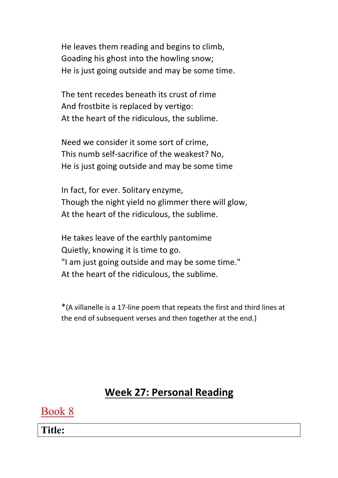He leaves them reading and begins to climb, Goading his ghost into the howling snow; He is just going outside and may be some time.

The tent recedes beneath its crust of rime And frostbite is replaced by vertigo: At the heart of the ridiculous, the sublime.

Need we consider it some sort of crime, This numb self-sacrifice of the weakest? No, He is just going outside and may be some time

In fact, for ever. Solitary enzyme, Though the night yield no glimmer there will glow, At the heart of the ridiculous, the sublime.

He takes leave of the earthly pantomime Quietly, knowing it is time to go. "I am just going outside and may be some time." At the heart of the ridiculous, the sublime.

\*(A villanelle is a 17-line poem that repeats the first and third lines at the end of subsequent verses and then together at the end.)

### **Week 27: Personal Reading**

#### Book 8

**Title:**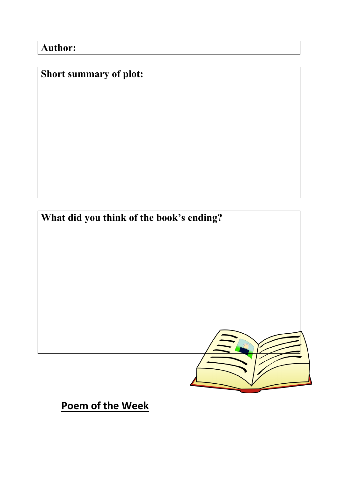### **Author:**

**Short summary of plot:**

**What did you think of the book's ending?**



**Poem of the Week**